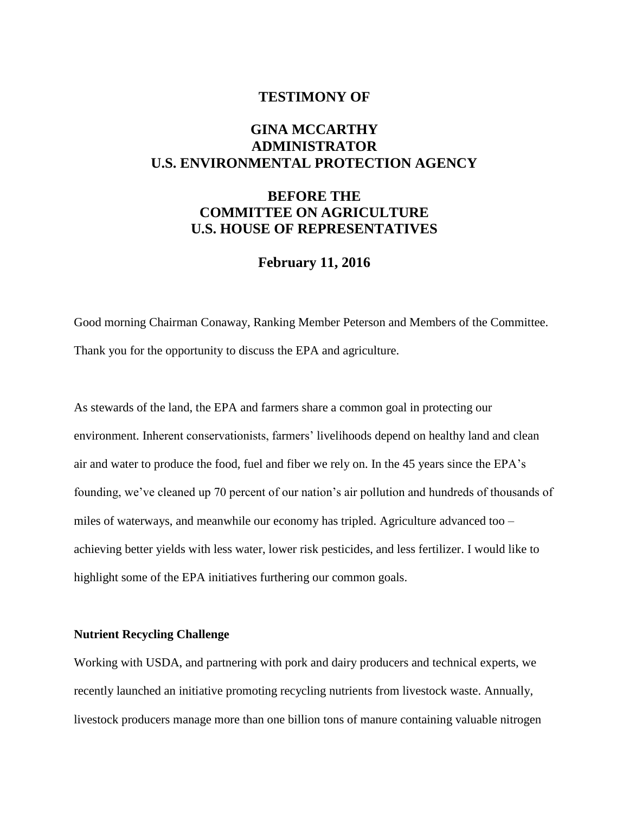## **TESTIMONY OF**

# **GINA MCCARTHY ADMINISTRATOR U.S. ENVIRONMENTAL PROTECTION AGENCY**

# **BEFORE THE COMMITTEE ON AGRICULTURE U.S. HOUSE OF REPRESENTATIVES**

# **February 11, 2016**

Good morning Chairman Conaway, Ranking Member Peterson and Members of the Committee. Thank you for the opportunity to discuss the EPA and agriculture.

As stewards of the land, the EPA and farmers share a common goal in protecting our environment. Inherent conservationists, farmers' livelihoods depend on healthy land and clean air and water to produce the food, fuel and fiber we rely on. In the 45 years since the EPA's founding, we've cleaned up 70 percent of our nation's air pollution and hundreds of thousands of miles of waterways, and meanwhile our economy has tripled. Agriculture advanced too – achieving better yields with less water, lower risk pesticides, and less fertilizer. I would like to highlight some of the EPA initiatives furthering our common goals.

### **Nutrient Recycling Challenge**

Working with USDA, and partnering with pork and dairy producers and technical experts, we recently launched an initiative promoting recycling nutrients from livestock waste. Annually, livestock producers manage more than one billion tons of manure containing valuable nitrogen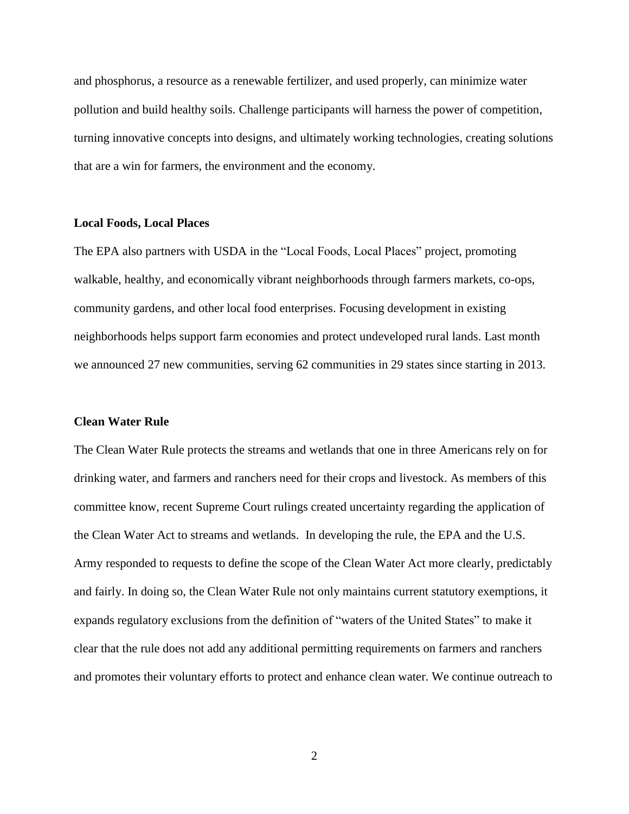and phosphorus, a resource as a renewable fertilizer, and used properly, can minimize water pollution and build healthy soils. Challenge participants will harness the power of competition, turning innovative concepts into designs, and ultimately working technologies, creating solutions that are a win for farmers, the environment and the economy.

### **Local Foods, Local Places**

The EPA also partners with USDA in the "Local Foods, Local Places" project, promoting walkable, healthy, and economically vibrant neighborhoods through farmers markets, co-ops, community gardens, and other local food enterprises. Focusing development in existing neighborhoods helps support farm economies and protect undeveloped rural lands. Last month we announced 27 new communities, serving 62 communities in 29 states since starting in 2013.

#### **Clean Water Rule**

The Clean Water Rule protects the streams and wetlands that one in three Americans rely on for drinking water, and farmers and ranchers need for their crops and livestock. As members of this committee know, recent Supreme Court rulings created uncertainty regarding the application of the Clean Water Act to streams and wetlands. In developing the rule, the EPA and the U.S. Army responded to requests to define the scope of the Clean Water Act more clearly, predictably and fairly. In doing so, the Clean Water Rule not only maintains current statutory exemptions, it expands regulatory exclusions from the definition of "waters of the United States" to make it clear that the rule does not add any additional permitting requirements on farmers and ranchers and promotes their voluntary efforts to protect and enhance clean water. We continue outreach to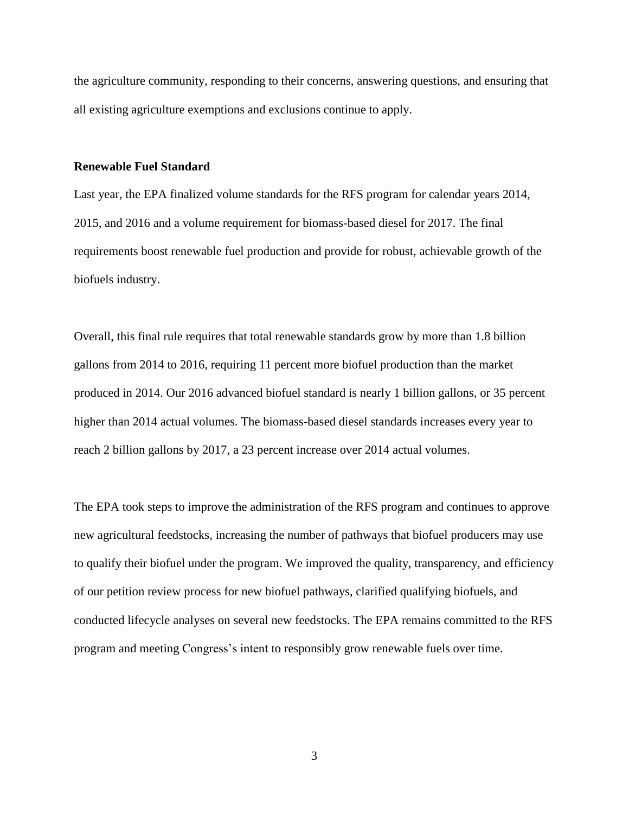the agriculture community, responding to their concerns, answering questions, and ensuring that all existing agriculture exemptions and exclusions continue to apply.

#### **Renewable Fuel Standard**

Last year, the EPA finalized volume standards for the RFS program for calendar years 2014, 2015, and 2016 and a volume requirement for biomass-based diesel for 2017. The final requirements boost renewable fuel production and provide for robust, achievable growth of the biofuels industry.

Overall, this final rule requires that total renewable standards grow by more than 1.8 billion gallons from 2014 to 2016, requiring 11 percent more biofuel production than the market produced in 2014. Our 2016 advanced biofuel standard is nearly 1 billion gallons, or 35 percent higher than 2014 actual volumes. The biomass-based diesel standards increases every year to reach 2 billion gallons by 2017, a 23 percent increase over 2014 actual volumes.

The EPA took steps to improve the administration of the RFS program and continues to approve new agricultural feedstocks, increasing the number of pathways that biofuel producers may use to qualify their biofuel under the program. We improved the quality, transparency, and efficiency of our petition review process for new biofuel pathways, clarified qualifying biofuels, and conducted lifecycle analyses on several new feedstocks. The EPA remains committed to the RFS program and meeting Congress's intent to responsibly grow renewable fuels over time.

3